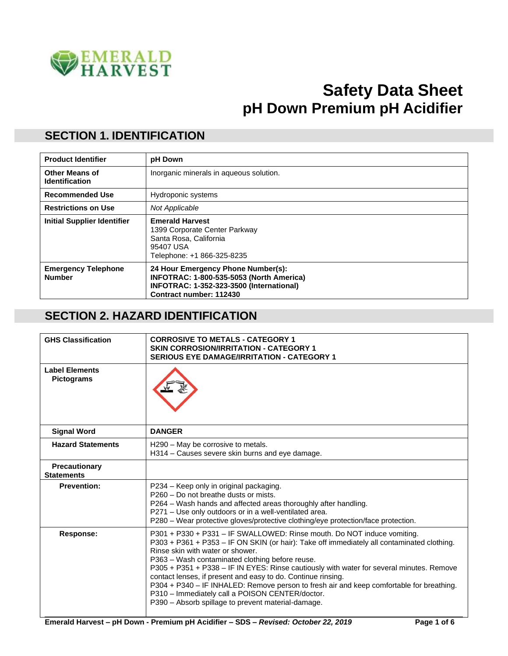

# **Safety Data Sheet pH Down Premium pH Acidifier**

#### **SECTION 1. IDENTIFICATION**

| <b>Product Identifier</b>                      | pH Down                                                                                                                                               |
|------------------------------------------------|-------------------------------------------------------------------------------------------------------------------------------------------------------|
| <b>Other Means of</b><br><b>Identification</b> | Inorganic minerals in aqueous solution.                                                                                                               |
| <b>Recommended Use</b>                         | Hydroponic systems                                                                                                                                    |
| <b>Restrictions on Use</b>                     | Not Applicable                                                                                                                                        |
| <b>Initial Supplier Identifier</b>             | <b>Emerald Harvest</b><br>1399 Corporate Center Parkway<br>Santa Rosa, California<br>95407 USA<br>Telephone: +1 866-325-8235                          |
| <b>Emergency Telephone</b><br><b>Number</b>    | 24 Hour Emergency Phone Number(s):<br>INFOTRAC: 1-800-535-5053 (North America)<br>INFOTRAC: 1-352-323-3500 (International)<br>Contract number: 112430 |

#### **SECTION 2. HAZARD IDENTIFICATION**

| <b>GHS Classification</b>                  | <b>CORROSIVE TO METALS - CATEGORY 1</b><br><b>SKIN CORROSION/IRRITATION - CATEGORY 1</b><br><b>SERIOUS EYE DAMAGE/IRRITATION - CATEGORY 1</b>                                                                                                                                                                                                                                                                                                                                                                                                                                                                                 |
|--------------------------------------------|-------------------------------------------------------------------------------------------------------------------------------------------------------------------------------------------------------------------------------------------------------------------------------------------------------------------------------------------------------------------------------------------------------------------------------------------------------------------------------------------------------------------------------------------------------------------------------------------------------------------------------|
| <b>Label Elements</b><br><b>Pictograms</b> |                                                                                                                                                                                                                                                                                                                                                                                                                                                                                                                                                                                                                               |
| <b>Signal Word</b>                         | <b>DANGER</b>                                                                                                                                                                                                                                                                                                                                                                                                                                                                                                                                                                                                                 |
| <b>Hazard Statements</b>                   | H290 - May be corrosive to metals.<br>H314 – Causes severe skin burns and eye damage.                                                                                                                                                                                                                                                                                                                                                                                                                                                                                                                                         |
| Precautionary<br><b>Statements</b>         |                                                                                                                                                                                                                                                                                                                                                                                                                                                                                                                                                                                                                               |
| <b>Prevention:</b>                         | P234 – Keep only in original packaging.<br>P260 - Do not breathe dusts or mists.<br>P264 - Wash hands and affected areas thoroughly after handling.<br>P271 - Use only outdoors or in a well-ventilated area.<br>P280 - Wear protective gloves/protective clothing/eye protection/face protection.                                                                                                                                                                                                                                                                                                                            |
| <b>Response:</b>                           | P301 + P330 + P331 - IF SWALLOWED: Rinse mouth. Do NOT induce vomiting.<br>P303 + P361 + P353 - IF ON SKIN (or hair): Take off immediately all contaminated clothing.<br>Rinse skin with water or shower.<br>P363 - Wash contaminated clothing before reuse.<br>P305 + P351 + P338 - IF IN EYES: Rinse cautiously with water for several minutes. Remove<br>contact lenses, if present and easy to do. Continue rinsing.<br>P304 + P340 - IF INHALED: Remove person to fresh air and keep comfortable for breathing.<br>P310 - Immediately call a POISON CENTER/doctor.<br>P390 - Absorb spillage to prevent material-damage. |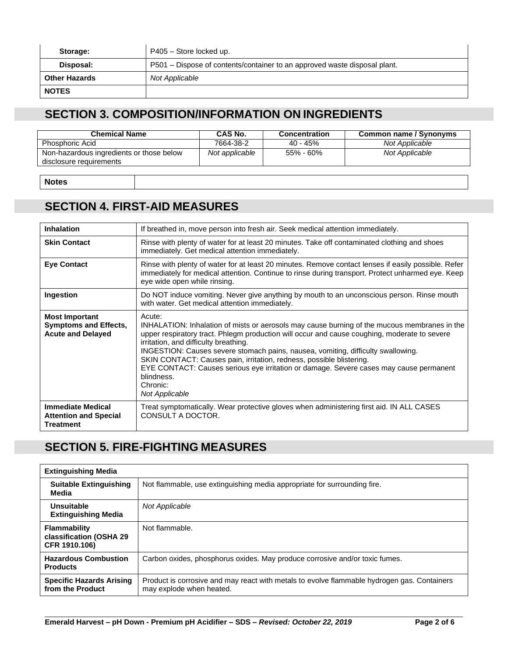| Storage:             | P405 - Store locked up.                                                   |
|----------------------|---------------------------------------------------------------------------|
| Disposal:            | P501 – Dispose of contents/container to an approved waste disposal plant. |
| <b>Other Hazards</b> | Not Applicable                                                            |
| <b>NOTES</b>         |                                                                           |

#### **SECTION 3. COMPOSITION/INFORMATION ON INGREDIENTS**

| <b>Chemical Name</b>                                                | CAS No.        | <b>Concentration</b> | Common name / Synonyms |
|---------------------------------------------------------------------|----------------|----------------------|------------------------|
| <b>Phosphoric Acid</b>                                              | 7664-38-2      | $40 - 45%$           | Not Applicable         |
| Non-hazardous ingredients or those below<br>disclosure requirements | Not applicable | 55% - 60%            | Not Applicable         |

**Notes**

### **SECTION 4. FIRST-AID MEASURES**

| <b>Inhalation</b>                                                                 | If breathed in, move person into fresh air. Seek medical attention immediately.                                                                                                                                                                                                                                                                                                                                                                                                                                                                   |
|-----------------------------------------------------------------------------------|---------------------------------------------------------------------------------------------------------------------------------------------------------------------------------------------------------------------------------------------------------------------------------------------------------------------------------------------------------------------------------------------------------------------------------------------------------------------------------------------------------------------------------------------------|
| <b>Skin Contact</b>                                                               | Rinse with plenty of water for at least 20 minutes. Take off contaminated clothing and shoes<br>immediately. Get medical attention immediately.                                                                                                                                                                                                                                                                                                                                                                                                   |
| <b>Eye Contact</b>                                                                | Rinse with plenty of water for at least 20 minutes. Remove contact lenses if easily possible. Refer<br>immediately for medical attention. Continue to rinse during transport. Protect unharmed eye. Keep<br>eye wide open while rinsing.                                                                                                                                                                                                                                                                                                          |
| Ingestion                                                                         | Do NOT induce vomiting. Never give anything by mouth to an unconscious person. Rinse mouth<br>with water. Get medical attention immediately.                                                                                                                                                                                                                                                                                                                                                                                                      |
| <b>Most Important</b><br><b>Symptoms and Effects,</b><br><b>Acute and Delayed</b> | Acute:<br>INHALATION: Inhalation of mists or aerosols may cause burning of the mucous membranes in the<br>upper respiratory tract. Phlegm production will occur and cause coughing, moderate to severe<br>irritation, and difficulty breathing.<br>INGESTION: Causes severe stomach pains, nausea, vomiting, difficulty swallowing.<br>SKIN CONTACT: Causes pain, irritation, redness, possible blistering.<br>EYE CONTACT: Causes serious eye irritation or damage. Severe cases may cause permanent<br>blindness.<br>Chronic:<br>Not Applicable |
| <b>Immediate Medical</b><br><b>Attention and Special</b><br><b>Treatment</b>      | Treat symptomatically. Wear protective gloves when administering first aid. IN ALL CASES<br>CONSULT A DOCTOR.                                                                                                                                                                                                                                                                                                                                                                                                                                     |

## **SECTION 5. FIRE-FIGHTING MEASURES**

| <b>Extinguishing Media</b>                                      |                                                                                                                         |
|-----------------------------------------------------------------|-------------------------------------------------------------------------------------------------------------------------|
| <b>Suitable Extinguishing</b><br>Media                          | Not flammable, use extinguishing media appropriate for surrounding fire.                                                |
| Unsuitable<br><b>Extinguishing Media</b>                        | Not Applicable                                                                                                          |
| <b>Flammability</b><br>classification (OSHA 29<br>CFR 1910.106) | Not flammable.                                                                                                          |
| <b>Hazardous Combustion</b><br><b>Products</b>                  | Carbon oxides, phosphorus oxides. May produce corrosive and/or toxic fumes.                                             |
| <b>Specific Hazards Arising</b><br>from the Product             | Product is corrosive and may react with metals to evolve flammable hydrogen gas. Containers<br>may explode when heated. |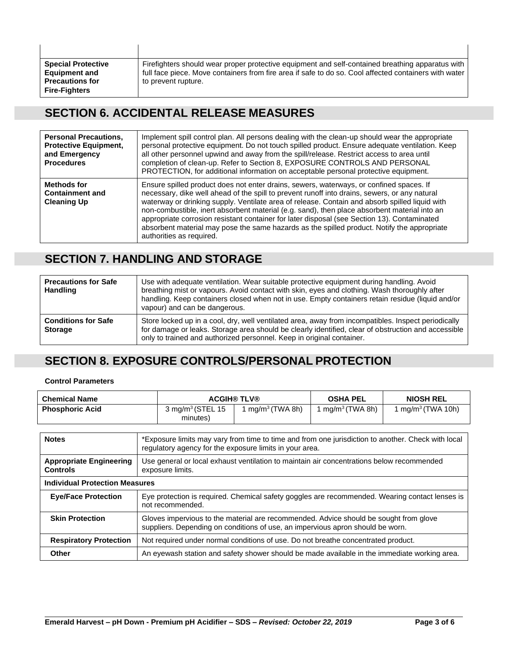| <b>Special Protective</b>                                             |                      |                                                                                                                                                                                                           |
|-----------------------------------------------------------------------|----------------------|-----------------------------------------------------------------------------------------------------------------------------------------------------------------------------------------------------------|
| <b>Precautions for</b><br>to prevent rupture.<br><b>Fire-Fighters</b> | <b>Equipment and</b> | Firefighters should wear proper protective equipment and self-contained breathing apparatus with<br>full face piece. Move containers from fire area if safe to do so. Cool affected containers with water |

### **SECTION 6. ACCIDENTAL RELEASE MEASURES**

| <b>Personal Precautions,</b><br><b>Protective Equipment,</b><br>and Emergency<br><b>Procedures</b> | Implement spill control plan. All persons dealing with the clean-up should wear the appropriate<br>personal protective equipment. Do not touch spilled product. Ensure adequate ventilation. Keep<br>all other personnel upwind and away from the spill/release. Restrict access to area until<br>completion of clean-up. Refer to Section 8, EXPOSURE CONTROLS AND PERSONAL<br>PROTECTION, for additional information on acceptable personal protective equipment.                                                                                                                                                  |
|----------------------------------------------------------------------------------------------------|----------------------------------------------------------------------------------------------------------------------------------------------------------------------------------------------------------------------------------------------------------------------------------------------------------------------------------------------------------------------------------------------------------------------------------------------------------------------------------------------------------------------------------------------------------------------------------------------------------------------|
| Methods for<br><b>Containment and</b><br><b>Cleaning Up</b>                                        | Ensure spilled product does not enter drains, sewers, waterways, or confined spaces. If<br>necessary, dike well ahead of the spill to prevent runoff into drains, sewers, or any natural<br>waterway or drinking supply. Ventilate area of release. Contain and absorb spilled liquid with<br>non-combustible, inert absorbent material (e.g. sand), then place absorbent material into an<br>appropriate corrosion resistant container for later disposal (see Section 13). Contaminated<br>absorbent material may pose the same hazards as the spilled product. Notify the appropriate<br>authorities as required. |

### **SECTION 7. HANDLING AND STORAGE**

| <b>Precautions for Safe</b><br><b>Handling</b> | Use with adequate ventilation. Wear suitable protective equipment during handling. Avoid<br>breathing mist or vapours. Avoid contact with skin, eyes and clothing. Wash thoroughly after<br>handling. Keep containers closed when not in use. Empty containers retain residue (liquid and/or<br>vapour) and can be dangerous. |
|------------------------------------------------|-------------------------------------------------------------------------------------------------------------------------------------------------------------------------------------------------------------------------------------------------------------------------------------------------------------------------------|
| <b>Conditions for Safe</b><br><b>Storage</b>   | Store locked up in a cool, dry, well ventilated area, away from incompatibles. Inspect periodically<br>for damage or leaks. Storage area should be clearly identified, clear of obstruction and accessible<br>only to trained and authorized personnel. Keep in original container.                                           |

#### **SECTION 8. EXPOSURE CONTROLS/PERSONAL PROTECTION**

**Control Parameters**

| <b>Chemical Name</b>                  |                                                                                                 |                                                                                                                                                      | <b>ACGIH® TLV®</b>                                                                                                                                                      | <b>OSHA PEL</b> | <b>NIOSH REL</b>                                                                               |
|---------------------------------------|-------------------------------------------------------------------------------------------------|------------------------------------------------------------------------------------------------------------------------------------------------------|-------------------------------------------------------------------------------------------------------------------------------------------------------------------------|-----------------|------------------------------------------------------------------------------------------------|
| <b>Phosphoric Acid</b>                | 1 mg/m <sup>3</sup> (TWA 8h)<br>3 mg/m $3$ (STEL 15<br>1 mg/m <sup>3</sup> (TWA 8h)<br>minutes) |                                                                                                                                                      |                                                                                                                                                                         |                 | 1 mg/m <sup>3</sup> (TWA 10h)                                                                  |
| <b>Notes</b>                          |                                                                                                 | *Exposure limits may vary from time to time and from one jurisdiction to another. Check with local                                                   |                                                                                                                                                                         |                 |                                                                                                |
| <b>Appropriate Engineering</b>        |                                                                                                 | regulatory agency for the exposure limits in your area.<br>Use general or local exhaust ventilation to maintain air concentrations below recommended |                                                                                                                                                                         |                 |                                                                                                |
| <b>Controls</b>                       | exposure limits.                                                                                |                                                                                                                                                      |                                                                                                                                                                         |                 |                                                                                                |
| <b>Individual Protection Measures</b> |                                                                                                 |                                                                                                                                                      |                                                                                                                                                                         |                 |                                                                                                |
| <b>Eye/Face Protection</b>            |                                                                                                 | not recommended.                                                                                                                                     |                                                                                                                                                                         |                 | Eye protection is required. Chemical safety goggles are recommended. Wearing contact lenses is |
| <b>Skin Protection</b>                |                                                                                                 |                                                                                                                                                      | Gloves impervious to the material are recommended. Advice should be sought from glove<br>suppliers. Depending on conditions of use, an impervious apron should be worn. |                 |                                                                                                |
| <b>Respiratory Protection</b>         |                                                                                                 | Not required under normal conditions of use. Do not breathe concentrated product.                                                                    |                                                                                                                                                                         |                 |                                                                                                |
| <b>Other</b>                          |                                                                                                 |                                                                                                                                                      |                                                                                                                                                                         |                 | An eyewash station and safety shower should be made available in the immediate working area.   |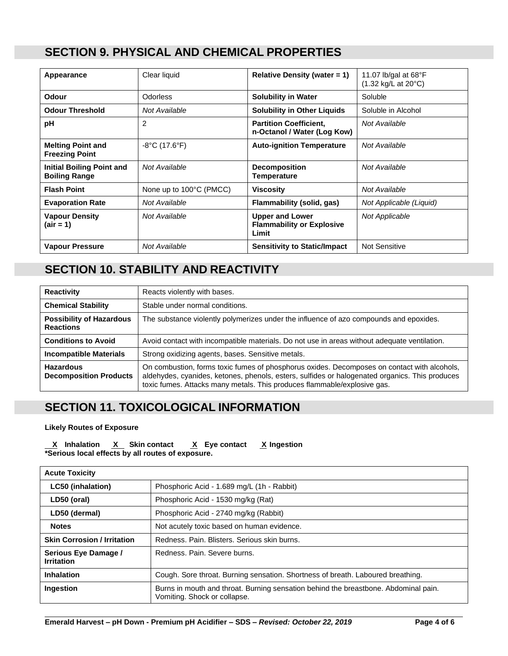#### **SECTION 9. PHYSICAL AND CHEMICAL PROPERTIES**

| Appearance                                               | Clear liquid                       | Relative Density (water $= 1$ )                                     | 11.07 lb/gal at $68^{\circ}F$<br>$(1.32 \text{ kg/L at } 20^{\circ}\text{C})$ |
|----------------------------------------------------------|------------------------------------|---------------------------------------------------------------------|-------------------------------------------------------------------------------|
| <b>Odour</b>                                             | <b>Odorless</b>                    | <b>Solubility in Water</b>                                          | Soluble                                                                       |
| <b>Odour Threshold</b>                                   | Not Available                      | <b>Solubility in Other Liquids</b>                                  | Soluble in Alcohol                                                            |
| рH                                                       | 2                                  | <b>Partition Coefficient,</b><br>n-Octanol / Water (Log Kow)        | Not Available                                                                 |
| <b>Melting Point and</b><br><b>Freezing Point</b>        | $-8^{\circ}$ C (17.6 $^{\circ}$ F) | <b>Auto-ignition Temperature</b>                                    | Not Available                                                                 |
| <b>Initial Boiling Point and</b><br><b>Boiling Range</b> | Not Available                      | <b>Decomposition</b><br><b>Temperature</b>                          | Not Available                                                                 |
| <b>Flash Point</b>                                       | None up to 100°C (PMCC)            | <b>Viscosity</b>                                                    | Not Available                                                                 |
| <b>Evaporation Rate</b>                                  | Not Available                      | Flammability (solid, gas)                                           | Not Applicable (Liquid)                                                       |
| <b>Vapour Density</b><br>(air = 1)                       | Not Available                      | <b>Upper and Lower</b><br><b>Flammability or Explosive</b><br>Limit | <b>Not Applicable</b>                                                         |
| <b>Vapour Pressure</b>                                   | Not Available                      | <b>Sensitivity to Static/Impact</b>                                 | <b>Not Sensitive</b>                                                          |

### **SECTION 10. STABILITY AND REACTIVITY**

| <b>Reactivity</b>                                   | Reacts violently with bases.                                                                                                                                                                                                                                              |
|-----------------------------------------------------|---------------------------------------------------------------------------------------------------------------------------------------------------------------------------------------------------------------------------------------------------------------------------|
| <b>Chemical Stability</b>                           | Stable under normal conditions.                                                                                                                                                                                                                                           |
| <b>Possibility of Hazardous</b><br><b>Reactions</b> | The substance violently polymerizes under the influence of azo compounds and epoxides.                                                                                                                                                                                    |
| <b>Conditions to Avoid</b>                          | Avoid contact with incompatible materials. Do not use in areas without adequate ventilation.                                                                                                                                                                              |
| <b>Incompatible Materials</b>                       | Strong oxidizing agents, bases. Sensitive metals.                                                                                                                                                                                                                         |
| <b>Hazardous</b><br><b>Decomposition Products</b>   | On combustion, forms toxic fumes of phosphorus oxides. Decomposes on contact with alcohols,<br>aldehydes, cyanides, ketones, phenols, esters, sulfides or halogenated organics. This produces<br>toxic fumes. Attacks many metals. This produces flammable/explosive gas. |

#### **SECTION 11. TOXICOLOGICAL INFORMATION**

#### **Likely Routes of Exposure**

 **X Inhalation X Skin contact X Eye contact X Ingestion \*Serious local effects by all routes of exposure.**

| <b>Acute Toxicity</b>                     |                                                                                                                     |
|-------------------------------------------|---------------------------------------------------------------------------------------------------------------------|
| <b>LC50 (inhalation)</b>                  | Phosphoric Acid - 1.689 mg/L (1h - Rabbit)                                                                          |
| LD50 (oral)                               | Phosphoric Acid - 1530 mg/kg (Rat)                                                                                  |
| LD50 (dermal)                             | Phosphoric Acid - 2740 mg/kg (Rabbit)                                                                               |
| <b>Notes</b>                              | Not acutely toxic based on human evidence.                                                                          |
| <b>Skin Corrosion / Irritation</b>        | Redness, Pain, Blisters, Serious skin burns.                                                                        |
| Serious Eye Damage /<br><b>Irritation</b> | Redness, Pain, Severe burns.                                                                                        |
| <b>Inhalation</b>                         | Cough. Sore throat. Burning sensation. Shortness of breath. Laboured breathing.                                     |
| <b>Ingestion</b>                          | Burns in mouth and throat. Burning sensation behind the breastbone. Abdominal pain.<br>Vomiting. Shock or collapse. |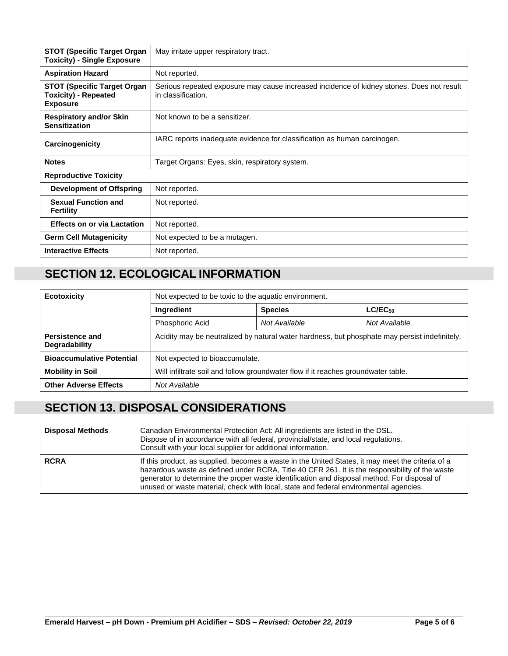| <b>STOT (Specific Target Organ</b><br><b>Toxicity) - Single Exposure</b>             | May irritate upper respiratory tract.                                                                           |
|--------------------------------------------------------------------------------------|-----------------------------------------------------------------------------------------------------------------|
| <b>Aspiration Hazard</b>                                                             | Not reported.                                                                                                   |
| <b>STOT (Specific Target Organ</b><br><b>Toxicity) - Repeated</b><br><b>Exposure</b> | Serious repeated exposure may cause increased incidence of kidney stones. Does not result<br>in classification. |
| <b>Respiratory and/or Skin</b><br><b>Sensitization</b>                               | Not known to be a sensitizer.                                                                                   |
| Carcinogenicity                                                                      | IARC reports inadequate evidence for classification as human carcinogen.                                        |
| <b>Notes</b>                                                                         | Target Organs: Eyes, skin, respiratory system.                                                                  |
| <b>Reproductive Toxicity</b>                                                         |                                                                                                                 |
| <b>Development of Offspring</b>                                                      | Not reported.                                                                                                   |
| <b>Sexual Function and</b><br><b>Fertility</b>                                       | Not reported.                                                                                                   |
| <b>Effects on or via Lactation</b>                                                   | Not reported.                                                                                                   |
| <b>Germ Cell Mutagenicity</b>                                                        | Not expected to be a mutagen.                                                                                   |
| <b>Interactive Effects</b>                                                           | Not reported.                                                                                                   |

### **SECTION 12. ECOLOGICAL INFORMATION**

| <b>Ecotoxicity</b>                      | Not expected to be toxic to the aquatic environment.                                          |                |               |  |  |
|-----------------------------------------|-----------------------------------------------------------------------------------------------|----------------|---------------|--|--|
|                                         | Ingredient                                                                                    | <b>Species</b> | $LC/EC_{50}$  |  |  |
|                                         | Phosphoric Acid                                                                               | Not Available  | Not Available |  |  |
| Persistence and<br><b>Degradability</b> | Acidity may be neutralized by natural water hardness, but phosphate may persist indefinitely. |                |               |  |  |
| <b>Bioaccumulative Potential</b>        | Not expected to bioaccumulate.                                                                |                |               |  |  |
| <b>Mobility in Soil</b>                 | Will infiltrate soil and follow groundwater flow if it reaches groundwater table.             |                |               |  |  |
| <b>Other Adverse Effects</b>            | Not Available                                                                                 |                |               |  |  |

### **SECTION 13. DISPOSAL CONSIDERATIONS**

| <b>Disposal Methods</b> | Canadian Environmental Protection Act: All ingredients are listed in the DSL.<br>Dispose of in accordance with all federal, provincial/state, and local regulations.<br>Consult with your local supplier for additional information.                                                                                                                                                        |
|-------------------------|---------------------------------------------------------------------------------------------------------------------------------------------------------------------------------------------------------------------------------------------------------------------------------------------------------------------------------------------------------------------------------------------|
| <b>RCRA</b>             | If this product, as supplied, becomes a waste in the United States, it may meet the criteria of a<br>hazardous waste as defined under RCRA, Title 40 CFR 261. It is the responsibility of the waste<br>generator to determine the proper waste identification and disposal method. For disposal of<br>unused or waste material, check with local, state and federal environmental agencies. |